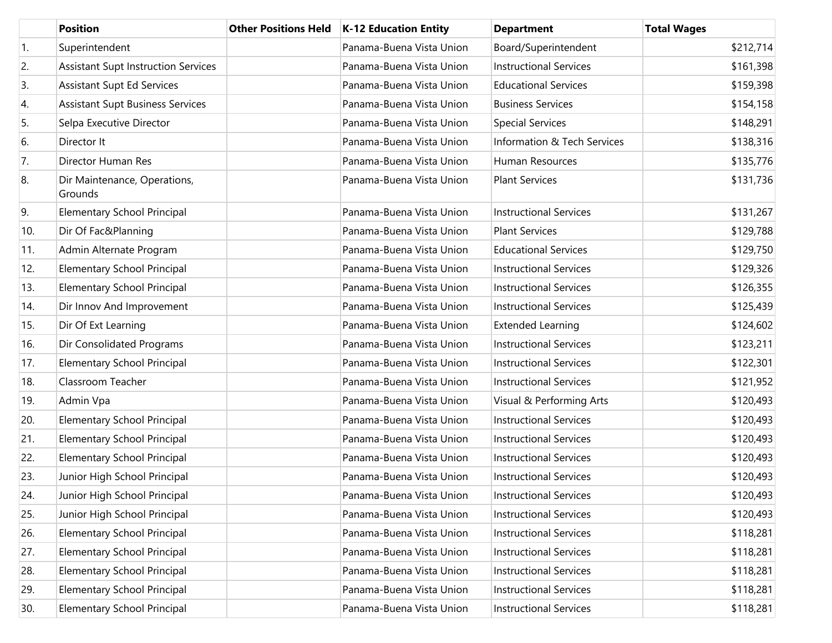|                  | <b>Position</b>                            | <b>Other Positions Held</b> | K-12 Education Entity    | <b>Department</b>             | <b>Total Wages</b> |
|------------------|--------------------------------------------|-----------------------------|--------------------------|-------------------------------|--------------------|
| $\overline{1}$ . | Superintendent                             |                             | Panama-Buena Vista Union | Board/Superintendent          | \$212,714          |
| 2.               | <b>Assistant Supt Instruction Services</b> |                             | Panama-Buena Vista Union | <b>Instructional Services</b> | \$161,398          |
| 3.               | <b>Assistant Supt Ed Services</b>          |                             | Panama-Buena Vista Union | <b>Educational Services</b>   | \$159,398          |
| 4.               | <b>Assistant Supt Business Services</b>    |                             | Panama-Buena Vista Union | <b>Business Services</b>      | \$154,158          |
| 5.               | Selpa Executive Director                   |                             | Panama-Buena Vista Union | <b>Special Services</b>       | \$148,291          |
| 6.               | Director It                                |                             | Panama-Buena Vista Union | Information & Tech Services   | \$138,316          |
| 7.               | Director Human Res                         |                             | Panama-Buena Vista Union | Human Resources               | \$135,776          |
| 8.               | Dir Maintenance, Operations,<br>Grounds    |                             | Panama-Buena Vista Union | <b>Plant Services</b>         | \$131,736          |
| 9.               | <b>Elementary School Principal</b>         |                             | Panama-Buena Vista Union | <b>Instructional Services</b> | \$131,267          |
| 10.              | Dir Of Fac&Planning                        |                             | Panama-Buena Vista Union | <b>Plant Services</b>         | \$129,788          |
| 11.              | Admin Alternate Program                    |                             | Panama-Buena Vista Union | <b>Educational Services</b>   | \$129,750          |
| 12.              | Elementary School Principal                |                             | Panama-Buena Vista Union | <b>Instructional Services</b> | \$129,326          |
| 13.              | Elementary School Principal                |                             | Panama-Buena Vista Union | <b>Instructional Services</b> | \$126,355          |
| 14.              | Dir Innov And Improvement                  |                             | Panama-Buena Vista Union | <b>Instructional Services</b> | \$125,439          |
| 15.              | Dir Of Ext Learning                        |                             | Panama-Buena Vista Union | <b>Extended Learning</b>      | \$124,602          |
| 16.              | Dir Consolidated Programs                  |                             | Panama-Buena Vista Union | <b>Instructional Services</b> | \$123,211          |
| 17.              | Elementary School Principal                |                             | Panama-Buena Vista Union | <b>Instructional Services</b> | \$122,301          |
| 18.              | Classroom Teacher                          |                             | Panama-Buena Vista Union | <b>Instructional Services</b> | \$121,952          |
| 19.              | Admin Vpa                                  |                             | Panama-Buena Vista Union | Visual & Performing Arts      | \$120,493          |
| 20.              | Elementary School Principal                |                             | Panama-Buena Vista Union | <b>Instructional Services</b> | \$120,493          |
| 21.              | Elementary School Principal                |                             | Panama-Buena Vista Union | <b>Instructional Services</b> | \$120,493          |
| 22.              | Elementary School Principal                |                             | Panama-Buena Vista Union | <b>Instructional Services</b> | \$120,493          |
| 23.              | Junior High School Principal               |                             | Panama-Buena Vista Union | <b>Instructional Services</b> | \$120,493          |
| 24.              | Junior High School Principal               |                             | Panama-Buena Vista Union | <b>Instructional Services</b> | \$120,493          |
| 25.              | Junior High School Principal               |                             | Panama-Buena Vista Union | <b>Instructional Services</b> | \$120,493          |
| 26.              | Elementary School Principal                |                             | Panama-Buena Vista Union | <b>Instructional Services</b> | \$118,281          |
| 27.              | <b>Elementary School Principal</b>         |                             | Panama-Buena Vista Union | <b>Instructional Services</b> | \$118,281          |
| 28.              | <b>Elementary School Principal</b>         |                             | Panama-Buena Vista Union | <b>Instructional Services</b> | \$118,281          |
| 29.              | <b>Elementary School Principal</b>         |                             | Panama-Buena Vista Union | <b>Instructional Services</b> | \$118,281          |
| 30.              | <b>Elementary School Principal</b>         |                             | Panama-Buena Vista Union | <b>Instructional Services</b> | \$118,281          |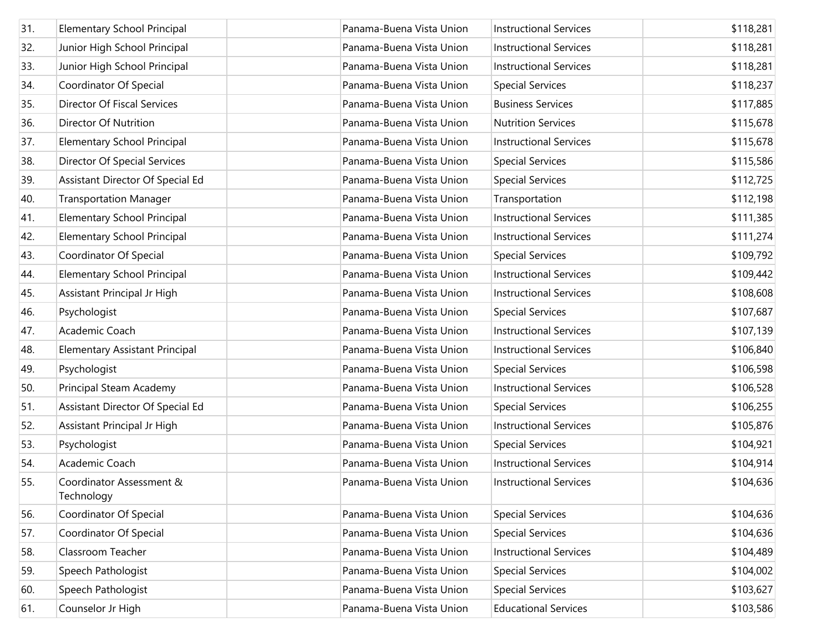| 31. | <b>Elementary School Principal</b>     | Panama-Buena Vista Union | <b>Instructional Services</b> | \$118,281 |
|-----|----------------------------------------|--------------------------|-------------------------------|-----------|
| 32. | Junior High School Principal           | Panama-Buena Vista Union | <b>Instructional Services</b> | \$118,281 |
| 33. | Junior High School Principal           | Panama-Buena Vista Union | <b>Instructional Services</b> | \$118,281 |
| 34. | Coordinator Of Special                 | Panama-Buena Vista Union | <b>Special Services</b>       | \$118,237 |
| 35. | <b>Director Of Fiscal Services</b>     | Panama-Buena Vista Union | <b>Business Services</b>      | \$117,885 |
| 36. | Director Of Nutrition                  | Panama-Buena Vista Union | <b>Nutrition Services</b>     | \$115,678 |
| 37. | <b>Elementary School Principal</b>     | Panama-Buena Vista Union | <b>Instructional Services</b> | \$115,678 |
| 38. | Director Of Special Services           | Panama-Buena Vista Union | <b>Special Services</b>       | \$115,586 |
| 39. | Assistant Director Of Special Ed       | Panama-Buena Vista Union | <b>Special Services</b>       | \$112,725 |
| 40. | <b>Transportation Manager</b>          | Panama-Buena Vista Union | Transportation                | \$112,198 |
| 41. | <b>Elementary School Principal</b>     | Panama-Buena Vista Union | <b>Instructional Services</b> | \$111,385 |
| 42. | <b>Elementary School Principal</b>     | Panama-Buena Vista Union | <b>Instructional Services</b> | \$111,274 |
| 43. | Coordinator Of Special                 | Panama-Buena Vista Union | <b>Special Services</b>       | \$109,792 |
| 44. | <b>Elementary School Principal</b>     | Panama-Buena Vista Union | <b>Instructional Services</b> | \$109,442 |
| 45. | Assistant Principal Jr High            | Panama-Buena Vista Union | <b>Instructional Services</b> | \$108,608 |
| 46. | Psychologist                           | Panama-Buena Vista Union | <b>Special Services</b>       | \$107,687 |
| 47. | Academic Coach                         | Panama-Buena Vista Union | <b>Instructional Services</b> | \$107,139 |
| 48. | <b>Elementary Assistant Principal</b>  | Panama-Buena Vista Union | <b>Instructional Services</b> | \$106,840 |
| 49. | Psychologist                           | Panama-Buena Vista Union | <b>Special Services</b>       | \$106,598 |
| 50. | Principal Steam Academy                | Panama-Buena Vista Union | <b>Instructional Services</b> | \$106,528 |
| 51. | Assistant Director Of Special Ed       | Panama-Buena Vista Union | <b>Special Services</b>       | \$106,255 |
| 52. | Assistant Principal Jr High            | Panama-Buena Vista Union | <b>Instructional Services</b> | \$105,876 |
| 53. | Psychologist                           | Panama-Buena Vista Union | <b>Special Services</b>       | \$104,921 |
| 54. | Academic Coach                         | Panama-Buena Vista Union | <b>Instructional Services</b> | \$104,914 |
| 55. | Coordinator Assessment &<br>Technology | Panama-Buena Vista Union | <b>Instructional Services</b> | \$104,636 |
| 56. | Coordinator Of Special                 | Panama-Buena Vista Union | <b>Special Services</b>       | \$104,636 |
| 57. | Coordinator Of Special                 | Panama-Buena Vista Union | <b>Special Services</b>       | \$104,636 |
| 58. | Classroom Teacher                      | Panama-Buena Vista Union | <b>Instructional Services</b> | \$104,489 |
| 59. | Speech Pathologist                     | Panama-Buena Vista Union | <b>Special Services</b>       | \$104,002 |
| 60. | Speech Pathologist                     | Panama-Buena Vista Union | <b>Special Services</b>       | \$103,627 |
| 61. | Counselor Jr High                      | Panama-Buena Vista Union | <b>Educational Services</b>   | \$103,586 |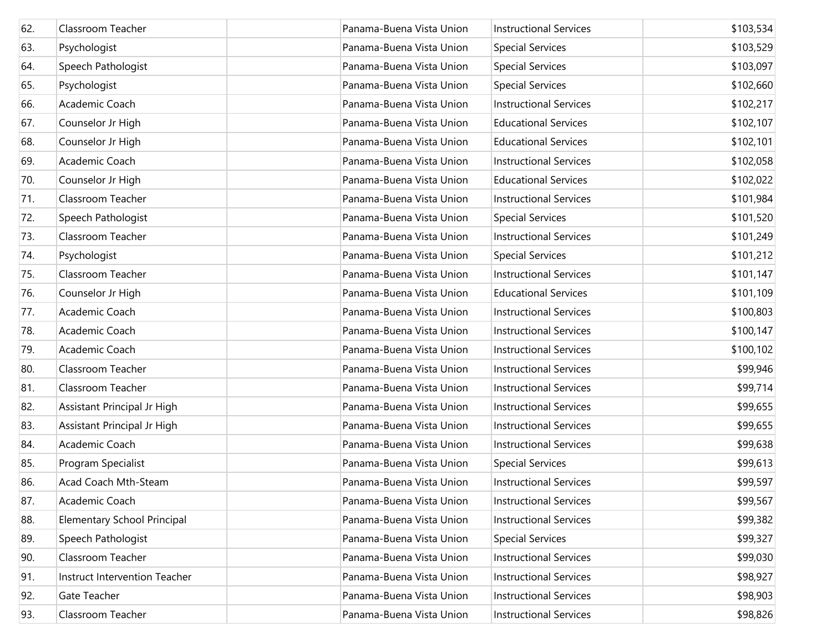| 62. | Classroom Teacher                  | Panama-Buena Vista Union | <b>Instructional Services</b> | \$103,534 |
|-----|------------------------------------|--------------------------|-------------------------------|-----------|
| 63. | Psychologist                       | Panama-Buena Vista Union | <b>Special Services</b>       | \$103,529 |
| 64. | Speech Pathologist                 | Panama-Buena Vista Union | <b>Special Services</b>       | \$103,097 |
| 65. | Psychologist                       | Panama-Buena Vista Union | <b>Special Services</b>       | \$102,660 |
| 66. | Academic Coach                     | Panama-Buena Vista Union | <b>Instructional Services</b> | \$102,217 |
| 67. | Counselor Jr High                  | Panama-Buena Vista Union | <b>Educational Services</b>   | \$102,107 |
| 68. | Counselor Jr High                  | Panama-Buena Vista Union | <b>Educational Services</b>   | \$102,101 |
| 69. | Academic Coach                     | Panama-Buena Vista Union | <b>Instructional Services</b> | \$102,058 |
| 70. | Counselor Jr High                  | Panama-Buena Vista Union | <b>Educational Services</b>   | \$102,022 |
| 71. | Classroom Teacher                  | Panama-Buena Vista Union | <b>Instructional Services</b> | \$101,984 |
| 72. | Speech Pathologist                 | Panama-Buena Vista Union | <b>Special Services</b>       | \$101,520 |
| 73. | Classroom Teacher                  | Panama-Buena Vista Union | <b>Instructional Services</b> | \$101,249 |
| 74. | Psychologist                       | Panama-Buena Vista Union | <b>Special Services</b>       | \$101,212 |
| 75. | Classroom Teacher                  | Panama-Buena Vista Union | <b>Instructional Services</b> | \$101,147 |
| 76. | Counselor Jr High                  | Panama-Buena Vista Union | <b>Educational Services</b>   | \$101,109 |
| 77. | Academic Coach                     | Panama-Buena Vista Union | <b>Instructional Services</b> | \$100,803 |
| 78. | Academic Coach                     | Panama-Buena Vista Union | <b>Instructional Services</b> | \$100,147 |
| 79. | Academic Coach                     | Panama-Buena Vista Union | <b>Instructional Services</b> | \$100,102 |
| 80. | Classroom Teacher                  | Panama-Buena Vista Union | <b>Instructional Services</b> | \$99,946  |
| 81. | Classroom Teacher                  | Panama-Buena Vista Union | <b>Instructional Services</b> | \$99,714  |
| 82. | Assistant Principal Jr High        | Panama-Buena Vista Union | <b>Instructional Services</b> | \$99,655  |
| 83. | Assistant Principal Jr High        | Panama-Buena Vista Union | <b>Instructional Services</b> | \$99,655  |
| 84. | Academic Coach                     | Panama-Buena Vista Union | <b>Instructional Services</b> | \$99,638  |
| 85. | Program Specialist                 | Panama-Buena Vista Union | <b>Special Services</b>       | \$99,613  |
| 86. | Acad Coach Mth-Steam               | Panama-Buena Vista Union | <b>Instructional Services</b> | \$99,597  |
| 87. | Academic Coach                     | Panama-Buena Vista Union | <b>Instructional Services</b> | \$99,567  |
| 88. | <b>Elementary School Principal</b> | Panama-Buena Vista Union | <b>Instructional Services</b> | \$99,382  |
| 89. | Speech Pathologist                 | Panama-Buena Vista Union | <b>Special Services</b>       | \$99,327  |
| 90. | Classroom Teacher                  | Panama-Buena Vista Union | <b>Instructional Services</b> | \$99,030  |
| 91. | Instruct Intervention Teacher      | Panama-Buena Vista Union | <b>Instructional Services</b> | \$98,927  |
| 92. | Gate Teacher                       | Panama-Buena Vista Union | <b>Instructional Services</b> | \$98,903  |
| 93. | Classroom Teacher                  | Panama-Buena Vista Union | <b>Instructional Services</b> | \$98,826  |